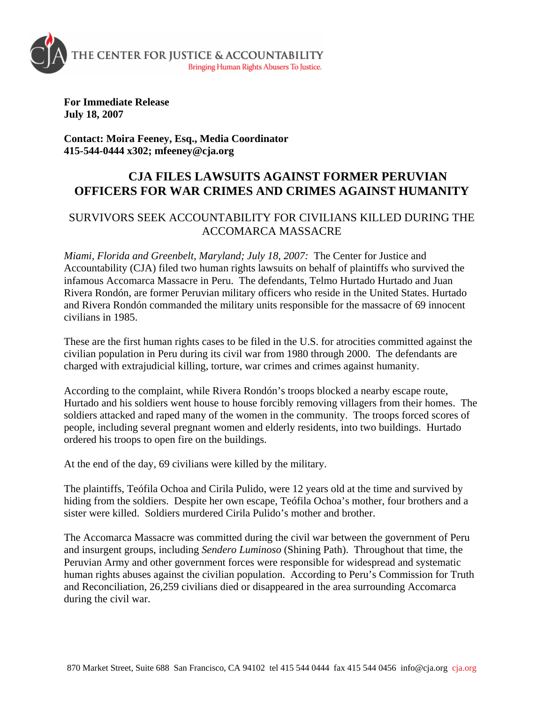

**For Immediate Release July 18, 2007** 

**Contact: Moira Feeney, Esq., Media Coordinator 415-544-0444 x302; mfeeney@cja.org** 

## **CJA FILES LAWSUITS AGAINST FORMER PERUVIAN OFFICERS FOR WAR CRIMES AND CRIMES AGAINST HUMANITY**

## SURVIVORS SEEK ACCOUNTABILITY FOR CIVILIANS KILLED DURING THE ACCOMARCA MASSACRE

*Miami, Florida and Greenbelt, Maryland; July 18, 2007:* The Center for Justice and Accountability (CJA) filed two human rights lawsuits on behalf of plaintiffs who survived the infamous Accomarca Massacre in Peru. The defendants, Telmo Hurtado Hurtado and Juan Rivera Rondón, are former Peruvian military officers who reside in the United States. Hurtado and Rivera Rondón commanded the military units responsible for the massacre of 69 innocent civilians in 1985.

These are the first human rights cases to be filed in the U.S. for atrocities committed against the civilian population in Peru during its civil war from 1980 through 2000. The defendants are charged with extrajudicial killing, torture, war crimes and crimes against humanity.

According to the complaint, while Rivera Rondón's troops blocked a nearby escape route, Hurtado and his soldiers went house to house forcibly removing villagers from their homes. The soldiers attacked and raped many of the women in the community. The troops forced scores of people, including several pregnant women and elderly residents, into two buildings. Hurtado ordered his troops to open fire on the buildings.

At the end of the day, 69 civilians were killed by the military.

The plaintiffs, Teófila Ochoa and Cirila Pulido, were 12 years old at the time and survived by hiding from the soldiers. Despite her own escape, Teófila Ochoa's mother, four brothers and a sister were killed. Soldiers murdered Cirila Pulido's mother and brother.

The Accomarca Massacre was committed during the civil war between the government of Peru and insurgent groups, including *Sendero Luminoso* (Shining Path). Throughout that time, the Peruvian Army and other government forces were responsible for widespread and systematic human rights abuses against the civilian population. According to Peru's Commission for Truth and Reconciliation, 26,259 civilians died or disappeared in the area surrounding Accomarca during the civil war.